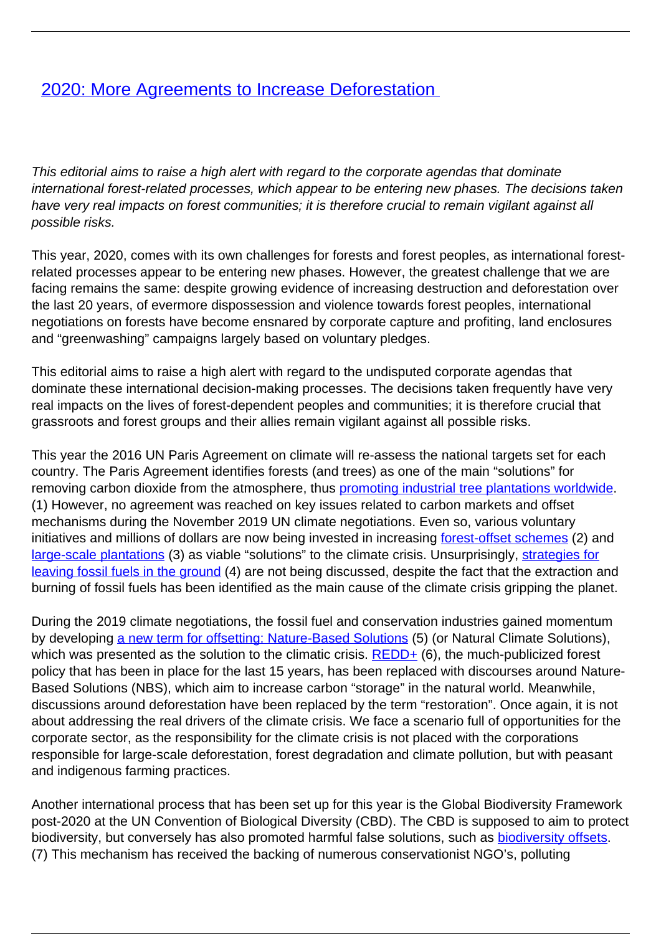## **[2020: More Agreements to Increase Deforestation](/bulletin-articles/2020-more-agreements-to-increase-deforestation)**

This editorial aims to raise a high alert with regard to the corporate agendas that dominate international forest-related processes, which appear to be entering new phases. The decisions taken have very real impacts on forest communities; it is therefore crucial to remain vigilant against all possible risks.

This year, 2020, comes with its own challenges for forests and forest peoples, as international forestrelated processes appear to be entering new phases. However, the greatest challenge that we are facing remains the same: despite growing evidence of increasing destruction and deforestation over the last 20 years, of evermore dispossession and violence towards forest peoples, international negotiations on forests have become ensnared by corporate capture and profiting, land enclosures and "greenwashing" campaigns largely based on voluntary pledges.

This editorial aims to raise a high alert with regard to the undisputed corporate agendas that dominate these international decision-making processes. The decisions taken frequently have very real impacts on the lives of forest-dependent peoples and communities; it is therefore crucial that grassroots and forest groups and their allies remain vigilant against all possible risks.

This year the 2016 UN Paris Agreement on climate will re-assess the national targets set for each country. The Paris Agreement identifies forests (and trees) as one of the main "solutions" for removing carbon dioxide from the atmosphere, thus [promoting industrial tree plantations worldwide.](https://wrm.us9.list-manage.com/track/click?u=f91b651f7fecdf835b57dc11d&id=a3822b3bca&e=d8e27bd4ab) (1) However, no agreement was reached on key issues related to carbon markets and offset mechanisms during the November 2019 UN climate negotiations. Even so, various voluntary initiatives and millions of dollars are now being invested in increasing [forest-offset schemes](https://wrm.us9.list-manage.com/track/click?u=f91b651f7fecdf835b57dc11d&id=a59722d80c&e=d8e27bd4ab) (2) and [large-scale plantations](https://wrm.us9.list-manage.com/track/click?u=f91b651f7fecdf835b57dc11d&id=6beb459027&e=d8e27bd4ab) (3) as viable "solutions" to the climate crisis. Unsurprisingly, [strategies for](https://wrm.us9.list-manage.com/track/click?u=f91b651f7fecdf835b57dc11d&id=23077bae40&e=d8e27bd4ab) [leaving fossil fuels in the ground](https://wrm.us9.list-manage.com/track/click?u=f91b651f7fecdf835b57dc11d&id=23077bae40&e=d8e27bd4ab) (4) are not being discussed, despite the fact that the extraction and burning of fossil fuels has been identified as the main cause of the climate crisis gripping the planet.

During the 2019 climate negotiations, the fossil fuel and conservation industries gained momentum by developing [a new term for offsetting: Nature-Based Solutions](https://wrm.us9.list-manage.com/track/click?u=f91b651f7fecdf835b57dc11d&id=3242a2dfbe&e=d8e27bd4ab) (5) (or Natural Climate Solutions), which was presented as the solution to the climatic crisis.  $REDD+$  (6), the much-publicized forest policy that has been in place for the last 15 years, has been replaced with discourses around Nature-Based Solutions (NBS), which aim to increase carbon "storage" in the natural world. Meanwhile, discussions around deforestation have been replaced by the term "restoration". Once again, it is not about addressing the real drivers of the climate crisis. We face a scenario full of opportunities for the corporate sector, as the responsibility for the climate crisis is not placed with the corporations responsible for large-scale deforestation, forest degradation and climate pollution, but with peasant and indigenous farming practices.

Another international process that has been set up for this year is the Global Biodiversity Framework post-2020 at the UN Convention of Biological Diversity (CBD). The CBD is supposed to aim to protect biodiversity, but conversely has also promoted harmful false solutions, such as **[biodiversity offsets](https://wrm.us9.list-manage.com/track/click?u=f91b651f7fecdf835b57dc11d&id=162e148d07&e=d8e27bd4ab)**. (7) This mechanism has received the backing of numerous conservationist NGO's, polluting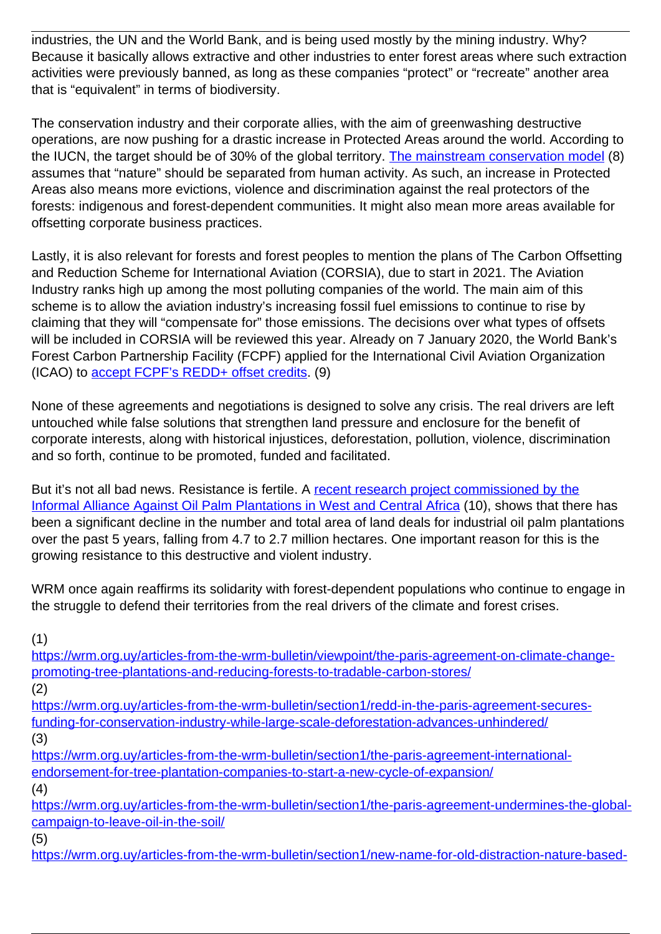industries, the UN and the World Bank, and is being used mostly by the mining industry. Why? Because it basically allows extractive and other industries to enter forest areas where such extraction activities were previously banned, as long as these companies "protect" or "recreate" another area that is "equivalent" in terms of biodiversity.

The conservation industry and their corporate allies, with the aim of greenwashing destructive operations, are now pushing for a drastic increase in Protected Areas around the world. According to the IUCN, the target should be of 30% of the global territory. [The mainstream conservation model](https://wrm.us9.list-manage.com/track/click?u=f91b651f7fecdf835b57dc11d&id=b1951c0c67&e=d8e27bd4ab) (8) assumes that "nature" should be separated from human activity. As such, an increase in Protected Areas also means more evictions, violence and discrimination against the real protectors of the forests: indigenous and forest-dependent communities. It might also mean more areas available for offsetting corporate business practices.

Lastly, it is also relevant for forests and forest peoples to mention the plans of The Carbon Offsetting and Reduction Scheme for International Aviation (CORSIA), due to start in 2021. The Aviation Industry ranks high up among the most polluting companies of the world. The main aim of this scheme is to allow the aviation industry's increasing fossil fuel emissions to continue to rise by claiming that they will "compensate for" those emissions. The decisions over what types of offsets will be included in CORSIA will be reviewed this year. Already on 7 January 2020, the World Bank's Forest Carbon Partnership Facility (FCPF) applied for the International Civil Aviation Organization (ICAO) to [accept FCPF's REDD+ offset credits.](https://wrm.us9.list-manage.com/track/click?u=f91b651f7fecdf835b57dc11d&id=ddedc9f9dc&e=d8e27bd4ab) (9)

None of these agreements and negotiations is designed to solve any crisis. The real drivers are left untouched while false solutions that strengthen land pressure and enclosure for the benefit of corporate interests, along with historical injustices, deforestation, pollution, violence, discrimination and so forth, continue to be promoted, funded and facilitated.

But it's not all bad news. Resistance is fertile. A [recent research project commissioned by the](https://wrm.us9.list-manage.com/track/click?u=f91b651f7fecdf835b57dc11d&id=7265ac2668&e=d8e27bd4ab) [Informal Alliance Against Oil Palm Plantations in West and Central Africa](https://wrm.us9.list-manage.com/track/click?u=f91b651f7fecdf835b57dc11d&id=7265ac2668&e=d8e27bd4ab) (10), shows that there has been a significant decline in the number and total area of land deals for industrial oil palm plantations over the past 5 years, falling from 4.7 to 2.7 million hectares. One important reason for this is the growing resistance to this destructive and violent industry.

WRM once again reaffirms its solidarity with forest-dependent populations who continue to engage in the struggle to defend their territories from the real drivers of the climate and forest crises.

(1)

[https://wrm.org.uy/articles-from-the-wrm-bulletin/viewpoint/the-paris-agreement-on-climate-change](https://wrm.us9.list-manage.com/track/click?u=f91b651f7fecdf835b57dc11d&id=1d9ae90001&e=d8e27bd4ab)[promoting-tree-plantations-and-reducing-forests-to-tradable-carbon-stores/](https://wrm.us9.list-manage.com/track/click?u=f91b651f7fecdf835b57dc11d&id=1d9ae90001&e=d8e27bd4ab)

(2)

[https://wrm.org.uy/articles-from-the-wrm-bulletin/section1/redd-in-the-paris-agreement-secures](https://wrm.us9.list-manage.com/track/click?u=f91b651f7fecdf835b57dc11d&id=7f5b5e0f22&e=d8e27bd4ab)[funding-for-conservation-industry-while-large-scale-deforestation-advances-unhindered/](https://wrm.us9.list-manage.com/track/click?u=f91b651f7fecdf835b57dc11d&id=7f5b5e0f22&e=d8e27bd4ab) (3)

[https://wrm.org.uy/articles-from-the-wrm-bulletin/section1/the-paris-agreement-international](https://wrm.us9.list-manage.com/track/click?u=f91b651f7fecdf835b57dc11d&id=72886f0a6f&e=d8e27bd4ab)[endorsement-for-tree-plantation-companies-to-start-a-new-cycle-of-expansion/](https://wrm.us9.list-manage.com/track/click?u=f91b651f7fecdf835b57dc11d&id=72886f0a6f&e=d8e27bd4ab)

(4)

[https://wrm.org.uy/articles-from-the-wrm-bulletin/section1/the-paris-agreement-undermines-the-global](https://wrm.us9.list-manage.com/track/click?u=f91b651f7fecdf835b57dc11d&id=67b78d0c49&e=d8e27bd4ab)[campaign-to-leave-oil-in-the-soil/](https://wrm.us9.list-manage.com/track/click?u=f91b651f7fecdf835b57dc11d&id=67b78d0c49&e=d8e27bd4ab)

(5)

[https://wrm.org.uy/articles-from-the-wrm-bulletin/section1/new-name-for-old-distraction-nature-based-](https://wrm.us9.list-manage.com/track/click?u=f91b651f7fecdf835b57dc11d&id=3cdd81c516&e=d8e27bd4ab)